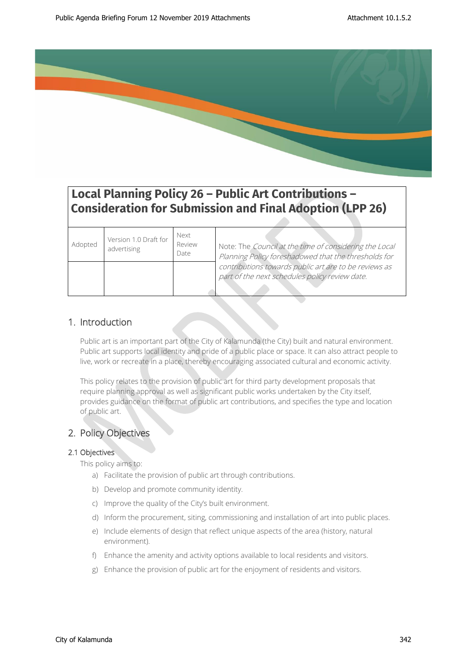

# **Local Planning Policy 26 – Public Art Contributions – Consideration for Submission and Final Adoption (LPP 26)**

| Adopted | Version 1.0 Draft for<br>advertising | Next<br>Review<br>Date | Note: The Council at the time of considering the Local<br>Planning Policy foreshadowed that the thresholds for |
|---------|--------------------------------------|------------------------|----------------------------------------------------------------------------------------------------------------|
|         |                                      |                        | contributions towards public art are to be reviews as<br>part of the next schedules policy review date.        |

# 1. Introduction

Public art is an important part of the City of Kalamunda (the City) built and natural environment. Public art supports local identity and pride of a public place or space. It can also attract people to live, work or recreate in a place, thereby encouraging associated cultural and economic activity.

This policy relates to the provision of public art for third party development proposals that require planning approval as well as significant public works undertaken by the City itself, provides guidance on the format of public art contributions, and specifies the type and location of public art.

# 2. Policy Objectives

# 2.1 Objectives

This policy aims to:

- a) Facilitate the provision of public art through contributions.
- b) Develop and promote community identity.
- c) Improve the quality of the City's built environment.
- d) Inform the procurement, siting, commissioning and installation of art into public places.
- e) Include elements of design that reflect unique aspects of the area (history, natural environment).
- f) Enhance the amenity and activity options available to local residents and visitors.
- g) Enhance the provision of public art for the enjoyment of residents and visitors.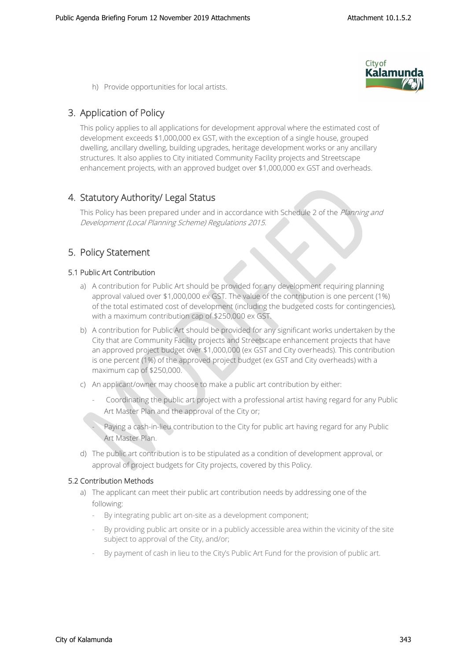

h) Provide opportunities for local artists.

# 3. Application of Policy

This policy applies to all applications for development approval where the estimated cost of development exceeds \$1,000,000 ex GST, with the exception of a single house, grouped dwelling, ancillary dwelling, building upgrades, heritage development works or any ancillary structures. It also applies to City initiated Community Facility projects and Streetscape enhancement projects, with an approved budget over \$1,000,000 ex GST and overheads.

# 4. Statutory Authority/ Legal Status

This Policy has been prepared under and in accordance with Schedule 2 of the Planning and Development (Local Planning Scheme) Regulations 2015.

# 5. Policy Statement

# 5.1 Public Art Contribution

- a) A contribution for Public Art should be provided for any development requiring planning approval valued over \$1,000,000 ex GST. The value of the contribution is one percent (1%) of the total estimated cost of development (including the budgeted costs for contingencies), with a maximum contribution cap of \$250,000 ex GST.
- b) A contribution for Public Art should be provided for any significant works undertaken by the City that are Community Facility projects and Streetscape enhancement projects that have an approved project budget over \$1,000,000 (ex GST and City overheads). This contribution is one percent (1%) of the approved project budget (ex GST and City overheads) with a maximum cap of \$250,000.
- c) An applicant/owner may choose to make a public art contribution by either:
	- Coordinating the public art project with a professional artist having regard for any Public Art Master Plan and the approval of the City or;

Paying a cash-in-lieu contribution to the City for public art having regard for any Public Art Master Plan.

d) The public art contribution is to be stipulated as a condition of development approval, or approval of project budgets for City projects, covered by this Policy.

# 5.2 Contribution Methods

- a) The applicant can meet their public art contribution needs by addressing one of the following:
	- By integrating public art on-site as a development component;
	- By providing public art onsite or in a publicly accessible area within the vicinity of the site subject to approval of the City, and/or;
	- By payment of cash in lieu to the City's Public Art Fund for the provision of public art.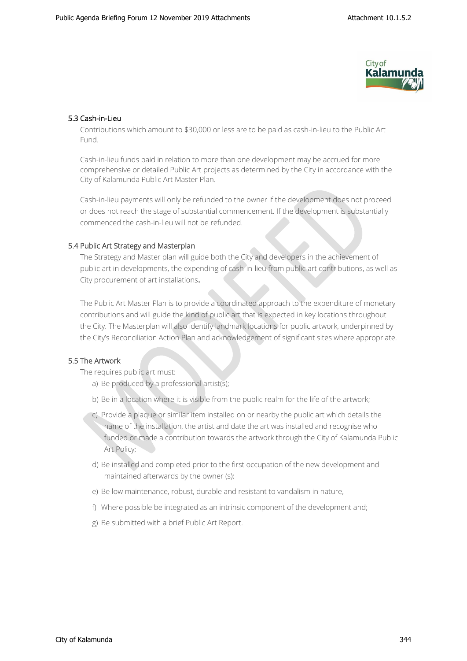

# 5.3 Cash-in-Lieu

Contributions which amount to \$30,000 or less are to be paid as cash-in-lieu to the Public Art Fund.

Cash-in-lieu funds paid in relation to more than one development may be accrued for more comprehensive or detailed Public Art projects as determined by the City in accordance with the City of Kalamunda Public Art Master Plan.

Cash-in-lieu payments will only be refunded to the owner if the development does not proceed or does not reach the stage of substantial commencement. If the development is substantially commenced the cash-in-lieu will not be refunded.

# 5.4 Public Art Strategy and Masterplan

The Strategy and Master plan will guide both the City and developers in the achievement of public art in developments, the expending of cash-in-lieu from public art contributions, as well as City procurement of art installations.

The Public Art Master Plan is to provide a coordinated approach to the expenditure of monetary contributions and will guide the kind of public art that is expected in key locations throughout the City. The Masterplan will also identify landmark locations for public artwork, underpinned by the City's Reconciliation Action Plan and acknowledgement of significant sites where appropriate.

# 5.5 The Artwork

The requires public art must:

- a) Be produced by a professional artist(s);
- b) Be in a location where it is visible from the public realm for the life of the artwork;
- c) Provide a plaque or similar item installed on or nearby the public art which details the name of the installation, the artist and date the art was installed and recognise who funded or made a contribution towards the artwork through the City of Kalamunda Public Art Policy;
- d) Be installed and completed prior to the first occupation of the new development and maintained afterwards by the owner (s);
- e) Be low maintenance, robust, durable and resistant to vandalism in nature,
- f) Where possible be integrated as an intrinsic component of the development and;
- g) Be submitted with a brief Public Art Report.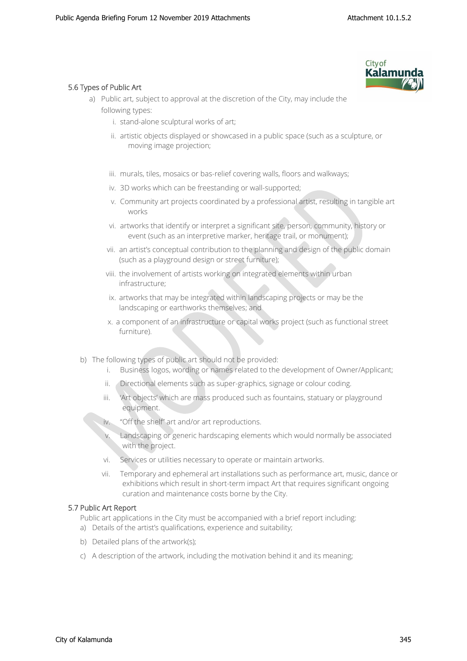

# 5.6 Types of Public Art

- a) Public art, subject to approval at the discretion of the City, may include the following types:
	- i. stand-alone sculptural works of art;
	- ii. artistic objects displayed or showcased in a public space (such as a sculpture, or moving image projection;
	- iii. murals, tiles, mosaics or bas-relief covering walls, floors and walkways;
	- iv. 3D works which can be freestanding or wall-supported;
	- v. Community art projects coordinated by a professional artist, resulting in tangible art works
	- vi. artworks that identify or interpret a significant site, person, community, history or event (such as an interpretive marker, heritage trail, or monument);
	- vii. an artist's conceptual contribution to the planning and design of the public domain (such as a playground design or street furniture);
	- viii. the involvement of artists working on integrated elements within urban infrastructure;
	- ix. artworks that may be integrated within landscaping projects or may be the landscaping or earthworks themselves; and
	- x. a component of an infrastructure or capital works project (such as functional street furniture).
- b) The following types of public art should not be provided:
	- i. Business logos, wording or names related to the development of Owner/Applicant;
	- ii. Directional elements such as super-graphics, signage or colour coding.
	- iii. 'Art objects' which are mass produced such as fountains, statuary or playground equipment.
	- iv. "Off the shelf" art and/or art reproductions.
	- v. Landscaping or generic hardscaping elements which would normally be associated with the project.
	- vi. Services or utilities necessary to operate or maintain artworks.
	- vii. Temporary and ephemeral art installations such as performance art, music, dance or exhibitions which result in short-term impact Art that requires significant ongoing curation and maintenance costs borne by the City.

# 5.7 Public Art Report

Public art applications in the City must be accompanied with a brief report including:

- a) Details of the artist's qualifications, experience and suitability;
- b) Detailed plans of the artwork(s);
- c) A description of the artwork, including the motivation behind it and its meaning;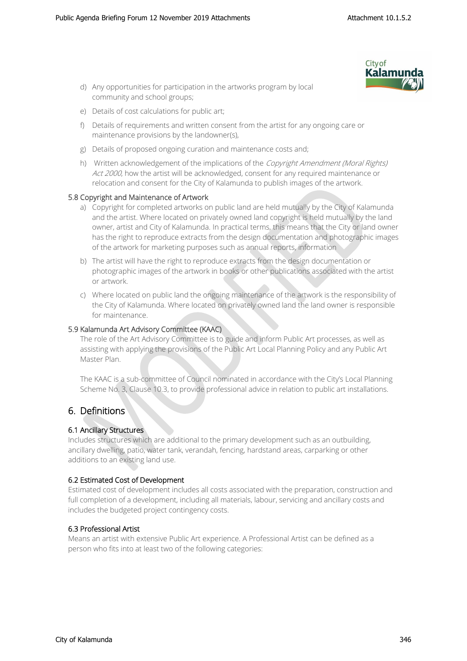

- d) Any opportunities for participation in the artworks program by local community and school groups;
- e) Details of cost calculations for public art;
- f) Details of requirements and written consent from the artist for any ongoing care or maintenance provisions by the landowner(s),
- g) Details of proposed ongoing curation and maintenance costs and;
- h) Written acknowledgement of the implications of the Copyright Amendment (Moral Rights) Act 2000, how the artist will be acknowledged, consent for any required maintenance or relocation and consent for the City of Kalamunda to publish images of the artwork.

# 5.8 Copyright and Maintenance of Artwork

- a) Copyright for completed artworks on public land are held mutually by the City of Kalamunda and the artist. Where located on privately owned land copyright is held mutually by the land owner, artist and City of Kalamunda. In practical terms, this means that the City or land owner has the right to reproduce extracts from the design documentation and photographic images of the artwork for marketing purposes such as annual reports, information
- b) The artist will have the right to reproduce extracts from the design documentation or photographic images of the artwork in books or other publications associated with the artist or artwork.
- c) Where located on public land the ongoing maintenance of the artwork is the responsibility of the City of Kalamunda. Where located on privately owned land the land owner is responsible for maintenance.

#### 5.9 Kalamunda Art Advisory Committee (KAAC)

The role of the Art Advisory Committee is to guide and inform Public Art processes, as well as assisting with applying the provisions of the Public Art Local Planning Policy and any Public Art Master Plan.

The KAAC is a sub-committee of Council nominated in accordance with the City's Local Planning Scheme No. 3, Clause 10.3, to provide professional advice in relation to public art installations.

# 6. Definitions

# 6.1 Ancillary Structures

Includes structures which are additional to the primary development such as an outbuilding, ancillary dwelling, patio, water tank, verandah, fencing, hardstand areas, carparking or other additions to an existing land use.

# 6.2 Estimated Cost of Development

Estimated cost of development includes all costs associated with the preparation, construction and full completion of a development, including all materials, labour, servicing and ancillary costs and includes the budgeted project contingency costs.

# 6.3 Professional Artist

Means an artist with extensive Public Art experience. A Professional Artist can be defined as a person who fits into at least two of the following categories: